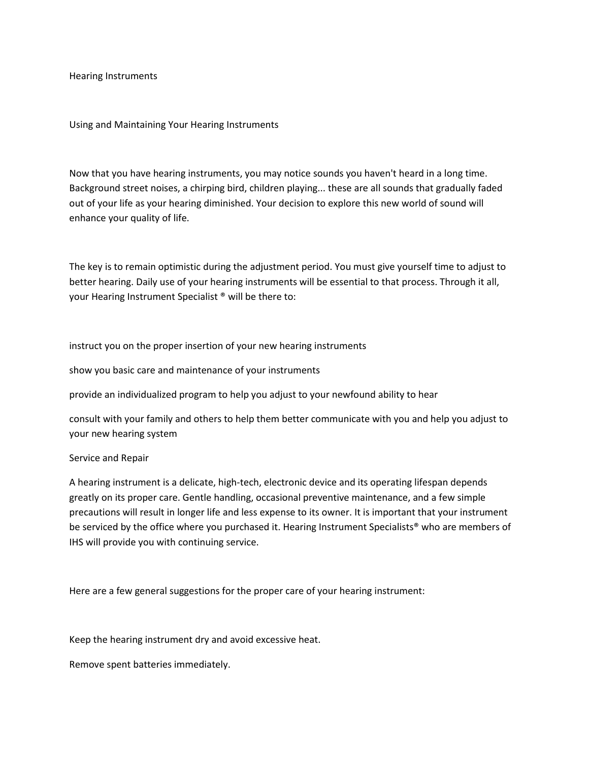Hearing Instruments

Using and Maintaining Your Hearing Instruments

Now that you have hearing instruments, you may notice sounds you haven't heard in a long time. Background street noises, a chirping bird, children playing... these are all sounds that gradually faded out of your life as your hearing diminished. Your decision to explore this new world of sound will enhance your quality of life.

The key is to remain optimistic during the adjustment period. You must give yourself time to adjust to better hearing. Daily use of your hearing instruments will be essential to that process. Through it all, your Hearing Instrument Specialist ® will be there to:

instruct you on the proper insertion of your new hearing instruments

show you basic care and maintenance of your instruments

provide an individualized program to help you adjust to your newfound ability to hear

consult with your family and others to help them better communicate with you and help you adjust to your new hearing system

## Service and Repair

A hearing instrument is a delicate, high-tech, electronic device and its operating lifespan depends greatly on its proper care. Gentle handling, occasional preventive maintenance, and a few simple precautions will result in longer life and less expense to its owner. It is important that your instrument be serviced by the office where you purchased it. Hearing Instrument Specialists<sup>®</sup> who are members of IHS will provide you with continuing service.

Here are a few general suggestions for the proper care of your hearing instrument:

Keep the hearing instrument dry and avoid excessive heat.

Remove spent batteries immediately.